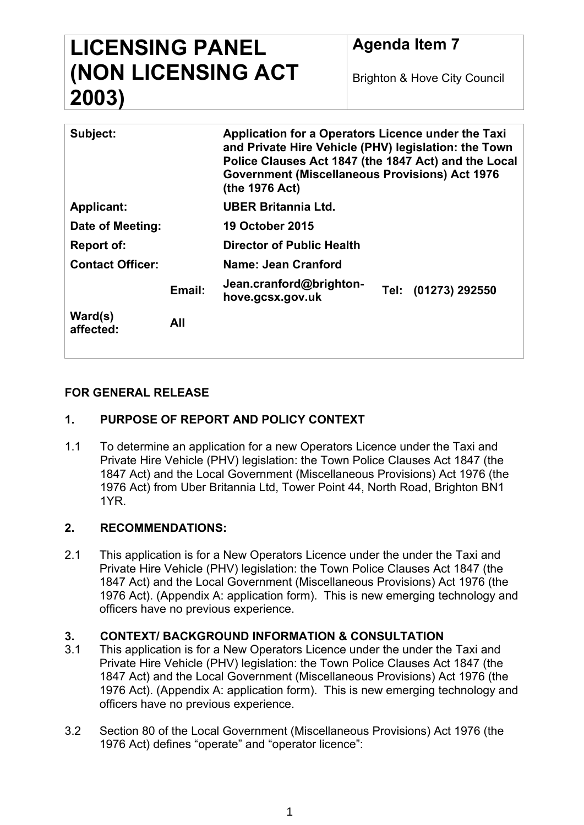# **LICENSING PANEL (NON LICENSING ACT 2003)**

Brighton & Hove City Council

| Subject:                |        | Application for a Operators Licence under the Taxi<br>and Private Hire Vehicle (PHV) legislation: the Town<br>Police Clauses Act 1847 (the 1847 Act) and the Local<br><b>Government (Miscellaneous Provisions) Act 1976</b><br>(the 1976 Act) |  |                     |
|-------------------------|--------|-----------------------------------------------------------------------------------------------------------------------------------------------------------------------------------------------------------------------------------------------|--|---------------------|
| <b>Applicant:</b>       |        | UBER Britannia Ltd.                                                                                                                                                                                                                           |  |                     |
| Date of Meeting:        |        | <b>19 October 2015</b>                                                                                                                                                                                                                        |  |                     |
| Report of:              |        | Director of Public Health                                                                                                                                                                                                                     |  |                     |
| <b>Contact Officer:</b> |        | Name: Jean Cranford                                                                                                                                                                                                                           |  |                     |
|                         | Email: | Jean.cranford@brighton-<br>hove.gcsx.gov.uk                                                                                                                                                                                                   |  | Tel: (01273) 292550 |
| Ward(s)<br>affected:    | All    |                                                                                                                                                                                                                                               |  |                     |
|                         |        |                                                                                                                                                                                                                                               |  |                     |

## **FOR GENERAL RELEASE**

## **1. PURPOSE OF REPORT AND POLICY CONTEXT**

1.1 To determine an application for a new Operators Licence under the Taxi and Private Hire Vehicle (PHV) legislation: the Town Police Clauses Act 1847 (the 1847 Act) and the Local Government (Miscellaneous Provisions) Act 1976 (the 1976 Act) from Uber Britannia Ltd, Tower Point 44, North Road, Brighton BN1 1YR.

### **2. RECOMMENDATIONS:**

2.1 This application is for a New Operators Licence under the under the Taxi and Private Hire Vehicle (PHV) legislation: the Town Police Clauses Act 1847 (the 1847 Act) and the Local Government (Miscellaneous Provisions) Act 1976 (the 1976 Act). (Appendix A: application form). This is new emerging technology and officers have no previous experience.

### **3. CONTEXT/ BACKGROUND INFORMATION & CONSULTATION**

- 3.1 This application is for a New Operators Licence under the under the Taxi and Private Hire Vehicle (PHV) legislation: the Town Police Clauses Act 1847 (the 1847 Act) and the Local Government (Miscellaneous Provisions) Act 1976 (the 1976 Act). (Appendix A: application form). This is new emerging technology and officers have no previous experience.
- 3.2 Section 80 of the Local Government (Miscellaneous Provisions) Act 1976 (the 1976 Act) defines "operate" and "operator licence":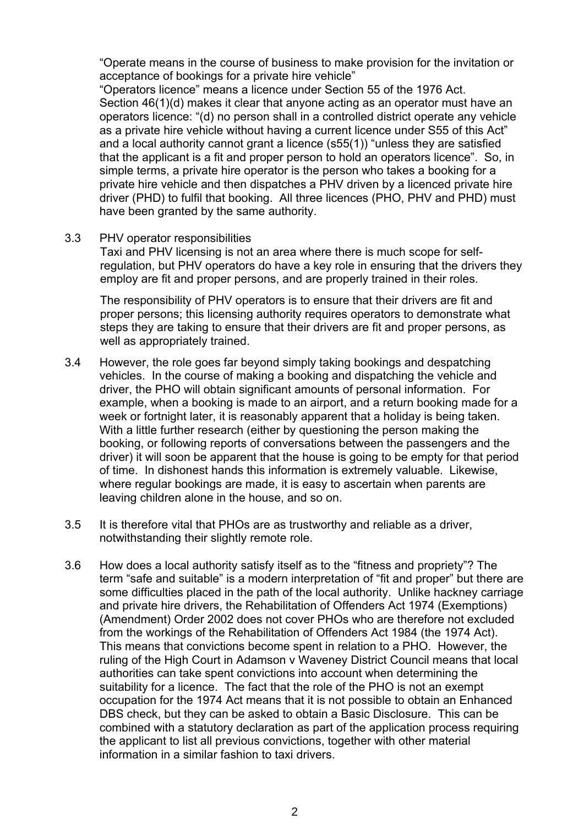"Operate means in the course of business to make provision for the invitation or acceptance of bookings for a private hire vehicle"

"Operators licence" means a licence under Section 55 of the 1976 Act. Section 46(1)(d) makes it clear that anyone acting as an operator must have an operators licence: "(d) no person shall in a controlled district operate any vehicle as a private hire vehicle without having a current licence under S55 of this Act" and a local authority cannot grant a licence (s55(1)) "unless they are satisfied that the applicant is a fit and proper person to hold an operators licence". So, in simple terms, a private hire operator is the person who takes a booking for a private hire vehicle and then dispatches a PHV driven by a licenced private hire driver (PHD) to fulfil that booking. All three licences (PHO, PHV and PHD) must have been granted by the same authority.

3.3 PHV operator responsibilities

Taxi and PHV licensing is not an area where there is much scope for selfregulation, but PHV operators do have a key role in ensuring that the drivers they employ are fit and proper persons, and are properly trained in their roles.

The responsibility of PHV operators is to ensure that their drivers are fit and proper persons; this licensing authority requires operators to demonstrate what steps they are taking to ensure that their drivers are fit and proper persons, as well as appropriately trained.

- 3.4 However, the role goes far beyond simply taking bookings and despatching vehicles. In the course of making a booking and dispatching the vehicle and driver, the PHO will obtain significant amounts of personal information. For example, when a booking is made to an airport, and a return booking made for a week or fortnight later, it is reasonably apparent that a holiday is being taken. With a little further research (either by questioning the person making the booking, or following reports of conversations between the passengers and the driver) it will soon be apparent that the house is going to be empty for that period of time. In dishonest hands this information is extremely valuable. Likewise, where regular bookings are made, it is easy to ascertain when parents are leaving children alone in the house, and so on.
- 3.5 It is therefore vital that PHOs are as trustworthy and reliable as a driver, notwithstanding their slightly remote role.
- 3.6 How does a local authority satisfy itself as to the "fitness and propriety"? The term "safe and suitable" is a modern interpretation of "fit and proper" but there are some difficulties placed in the path of the local authority. Unlike hackney carriage and private hire drivers, the Rehabilitation of Offenders Act 1974 (Exemptions) (Amendment) Order 2002 does not cover PHOs who are therefore not excluded from the workings of the Rehabilitation of Offenders Act 1984 (the 1974 Act). This means that convictions become spent in relation to a PHO. However, the ruling of the High Court in Adamson v Waveney District Council means that local authorities can take spent convictions into account when determining the suitability for a licence. The fact that the role of the PHO is not an exempt occupation for the 1974 Act means that it is not possible to obtain an Enhanced DBS check, but they can be asked to obtain a Basic Disclosure. This can be combined with a statutory declaration as part of the application process requiring the applicant to list all previous convictions, together with other material information in a similar fashion to taxi drivers.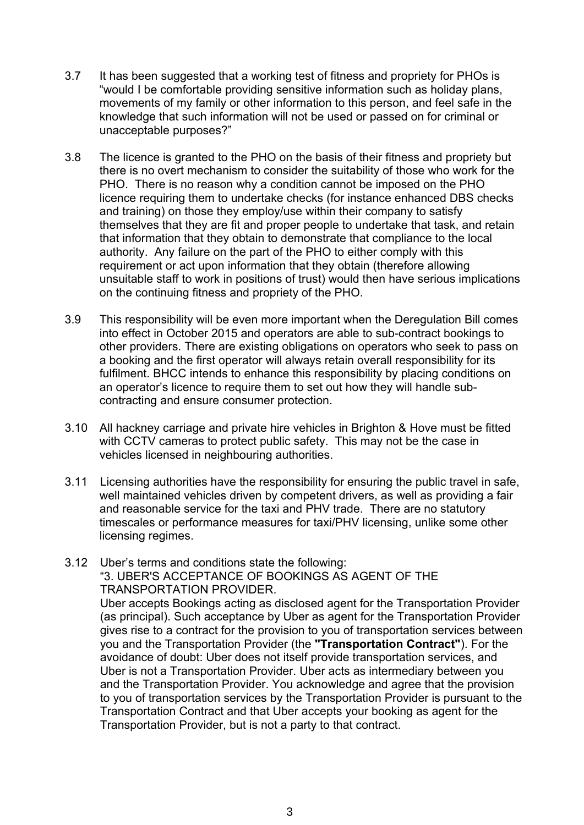- 3.7 It has been suggested that a working test of fitness and propriety for PHOs is "would I be comfortable providing sensitive information such as holiday plans, movements of my family or other information to this person, and feel safe in the knowledge that such information will not be used or passed on for criminal or unacceptable purposes?"
- 3.8 The licence is granted to the PHO on the basis of their fitness and propriety but there is no overt mechanism to consider the suitability of those who work for the PHO. There is no reason why a condition cannot be imposed on the PHO licence requiring them to undertake checks (for instance enhanced DBS checks and training) on those they employ/use within their company to satisfy themselves that they are fit and proper people to undertake that task, and retain that information that they obtain to demonstrate that compliance to the local authority. Any failure on the part of the PHO to either comply with this requirement or act upon information that they obtain (therefore allowing unsuitable staff to work in positions of trust) would then have serious implications on the continuing fitness and propriety of the PHO.
- 3.9 This responsibility will be even more important when the Deregulation Bill comes into effect in October 2015 and operators are able to sub-contract bookings to other providers. There are existing obligations on operators who seek to pass on a booking and the first operator will always retain overall responsibility for its fulfilment. BHCC intends to enhance this responsibility by placing conditions on an operator's licence to require them to set out how they will handle subcontracting and ensure consumer protection.
- 3.10 All hackney carriage and private hire vehicles in Brighton & Hove must be fitted with CCTV cameras to protect public safety. This may not be the case in vehicles licensed in neighbouring authorities.
- 3.11 Licensing authorities have the responsibility for ensuring the public travel in safe, well maintained vehicles driven by competent drivers, as well as providing a fair and reasonable service for the taxi and PHV trade. There are no statutory timescales or performance measures for taxi/PHV licensing, unlike some other licensing regimes.
- 3.12 Uber's terms and conditions state the following: "3. UBER'S ACCEPTANCE OF BOOKINGS AS AGENT OF THE TRANSPORTATION PROVIDER. Uber accepts Bookings acting as disclosed agent for the Transportation Provider (as principal). Such acceptance by Uber as agent for the Transportation Provider gives rise to a contract for the provision to you of transportation services between you and the Transportation Provider (the **"Transportation Contract"**). For the avoidance of doubt: Uber does not itself provide transportation services, and Uber is not a Transportation Provider. Uber acts as intermediary between you and the Transportation Provider. You acknowledge and agree that the provision to you of transportation services by the Transportation Provider is pursuant to the Transportation Contract and that Uber accepts your booking as agent for the Transportation Provider, but is not a party to that contract.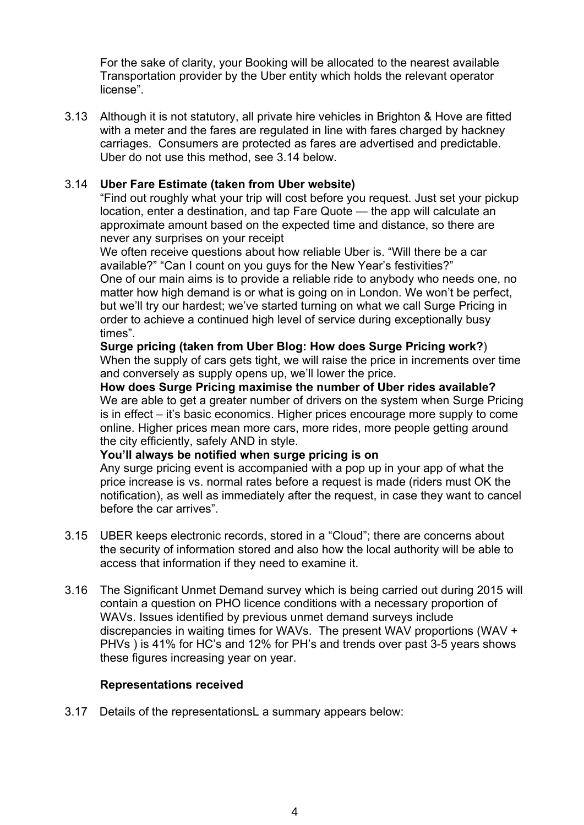For the sake of clarity, your Booking will be allocated to the nearest available Transportation provider by the Uber entity which holds the relevant operator license".

3.13 Although it is not statutory, all private hire vehicles in Brighton & Hove are fitted with a meter and the fares are regulated in line with fares charged by hackney carriages. Consumers are protected as fares are advertised and predictable. Uber do not use this method, see 3.14 below.

#### 3.14 **Uber Fare Estimate (taken from Uber website)**

"Find out roughly what your trip will cost before you request. Just set your pickup location, enter a destination, and tap Fare Quote — the app will calculate an approximate amount based on the expected time and distance, so there are never any surprises on your receipt

We often receive questions about how reliable Uber is. "Will there be a car available?" "Can I count on you guys for the New Year's festivities?" One of our main aims is to provide a reliable ride to anybody who needs one, no matter how high demand is or what is going on in London. We won't be perfect, but we'll try our hardest; we've started turning on what we call Surge Pricing in order to achieve a continued high level of service during exceptionally busy times".

**Surge pricing (taken from Uber Blog: How does Surge Pricing work?**) When the supply of cars gets tight, we will raise the price in increments over time and conversely as supply opens up, we'll lower the price.

**How does Surge Pricing maximise the number of Uber rides available?** We are able to get a greater number of drivers on the system when Surge Pricing is in effect – it's basic economics. Higher prices encourage more supply to come online. Higher prices mean more cars, more rides, more people getting around the city efficiently, safely AND in style.

#### **You'll always be notified when surge pricing is on**

Any surge pricing event is accompanied with a pop up in your app of what the price increase is vs. normal rates before a request is made (riders must OK the notification), as well as immediately after the request, in case they want to cancel before the car arrives".

- 3.15 UBER keeps electronic records, stored in a "Cloud"; there are concerns about the security of information stored and also how the local authority will be able to access that information if they need to examine it.
- 3.16 The Significant Unmet Demand survey which is being carried out during 2015 will contain a question on PHO licence conditions with a necessary proportion of WAVs. Issues identified by previous unmet demand surveys include discrepancies in waiting times for WAVs. The present WAV proportions (WAV + PHVs ) is 41% for HC's and 12% for PH's and trends over past 3-5 years shows these figures increasing year on year.

#### **Representations received**

3.17 Details of the representationsL a summary appears below: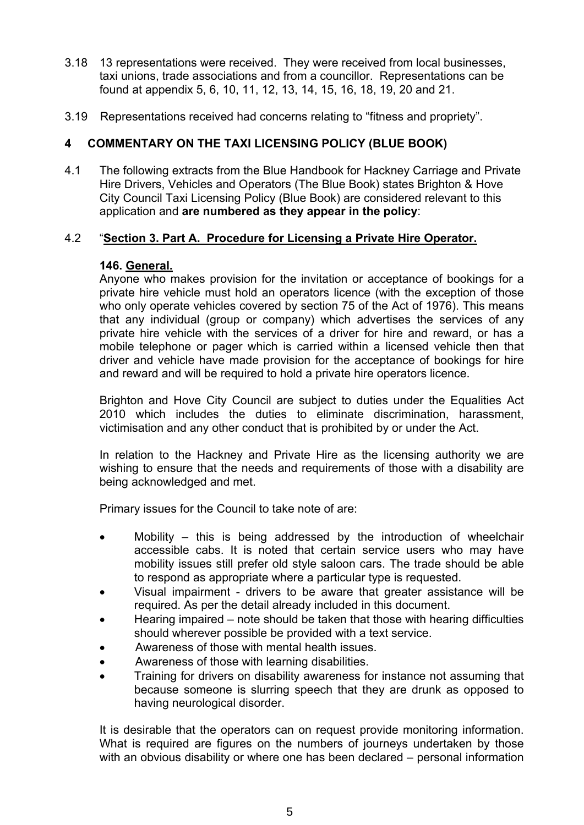- 3.18 13 representations were received. They were received from local businesses, taxi unions, trade associations and from a councillor. Representations can be found at appendix 5, 6, 10, 11, 12, 13, 14, 15, 16, 18, 19, 20 and 21.
- 3.19 Representations received had concerns relating to "fitness and propriety".

## **4 COMMENTARY ON THE TAXI LICENSING POLICY (BLUE BOOK)**

4.1 The following extracts from the Blue Handbook for Hackney Carriage and Private Hire Drivers, Vehicles and Operators (The Blue Book) states Brighton & Hove City Council Taxi Licensing Policy (Blue Book) are considered relevant to this application and **are numbered as they appear in the policy**:

## 4.2 "**Section 3. Part A. Procedure for Licensing a Private Hire Operator.**

#### **146. General.**

Anyone who makes provision for the invitation or acceptance of bookings for a private hire vehicle must hold an operators licence (with the exception of those who only operate vehicles covered by section 75 of the Act of 1976). This means that any individual (group or company) which advertises the services of any private hire vehicle with the services of a driver for hire and reward, or has a mobile telephone or pager which is carried within a licensed vehicle then that driver and vehicle have made provision for the acceptance of bookings for hire and reward and will be required to hold a private hire operators licence.

Brighton and Hove City Council are subject to duties under the Equalities Act 2010 which includes the duties to eliminate discrimination, harassment, victimisation and any other conduct that is prohibited by or under the Act.

In relation to the Hackney and Private Hire as the licensing authority we are wishing to ensure that the needs and requirements of those with a disability are being acknowledged and met.

Primary issues for the Council to take note of are:

- Mobility this is being addressed by the introduction of wheelchair accessible cabs. It is noted that certain service users who may have mobility issues still prefer old style saloon cars. The trade should be able to respond as appropriate where a particular type is requested.
- Visual impairment drivers to be aware that greater assistance will be required. As per the detail already included in this document.
- Hearing impaired note should be taken that those with hearing difficulties should wherever possible be provided with a text service.
- Awareness of those with mental health issues.
- Awareness of those with learning disabilities.
- Training for drivers on disability awareness for instance not assuming that because someone is slurring speech that they are drunk as opposed to having neurological disorder.

It is desirable that the operators can on request provide monitoring information. What is required are figures on the numbers of journeys undertaken by those with an obvious disability or where one has been declared – personal information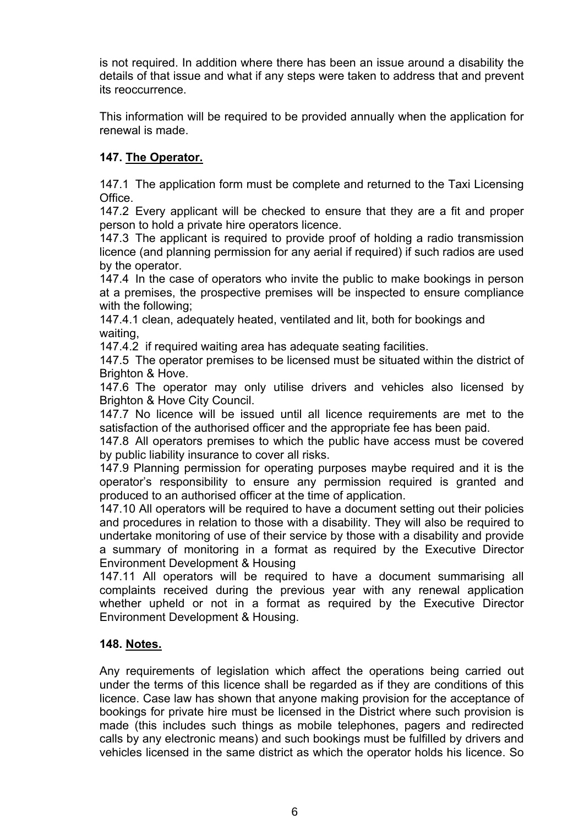is not required. In addition where there has been an issue around a disability the details of that issue and what if any steps were taken to address that and prevent its reoccurrence.

This information will be required to be provided annually when the application for renewal is made.

## **147. The Operator.**

147.1 The application form must be complete and returned to the Taxi Licensing Office.

147.2 Every applicant will be checked to ensure that they are a fit and proper person to hold a private hire operators licence.

147.3 The applicant is required to provide proof of holding a radio transmission licence (and planning permission for any aerial if required) if such radios are used by the operator.

147.4 In the case of operators who invite the public to make bookings in person at a premises, the prospective premises will be inspected to ensure compliance with the following;

147.4.1 clean, adequately heated, ventilated and lit, both for bookings and waiting,

147.4.2 if required waiting area has adequate seating facilities.

147.5 The operator premises to be licensed must be situated within the district of Brighton & Hove.

147.6 The operator may only utilise drivers and vehicles also licensed by Brighton & Hove City Council.

147.7 No licence will be issued until all licence requirements are met to the satisfaction of the authorised officer and the appropriate fee has been paid.

147.8 All operators premises to which the public have access must be covered by public liability insurance to cover all risks.

147.9 Planning permission for operating purposes maybe required and it is the operator's responsibility to ensure any permission required is granted and produced to an authorised officer at the time of application.

147.10 All operators will be required to have a document setting out their policies and procedures in relation to those with a disability. They will also be required to undertake monitoring of use of their service by those with a disability and provide a summary of monitoring in a format as required by the Executive Director Environment Development & Housing

147.11 All operators will be required to have a document summarising all complaints received during the previous year with any renewal application whether upheld or not in a format as required by the Executive Director Environment Development & Housing.

#### **148. Notes.**

Any requirements of legislation which affect the operations being carried out under the terms of this licence shall be regarded as if they are conditions of this licence. Case law has shown that anyone making provision for the acceptance of bookings for private hire must be licensed in the District where such provision is made (this includes such things as mobile telephones, pagers and redirected calls by any electronic means) and such bookings must be fulfilled by drivers and vehicles licensed in the same district as which the operator holds his licence. So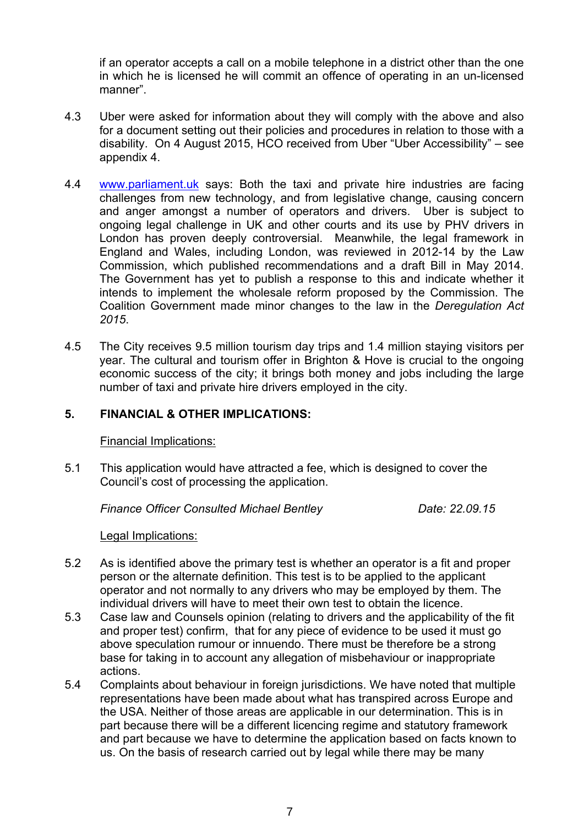if an operator accepts a call on a mobile telephone in a district other than the one in which he is licensed he will commit an offence of operating in an un-licensed manner".

- 4.3 Uber were asked for information about they will comply with the above and also for a document setting out their policies and procedures in relation to those with a disability. On 4 August 2015, HCO received from Uber "Uber Accessibility" – see appendix 4.
- 4.4 [www.parliament.uk](http://www.parliament.uk/) says: Both the taxi and private hire industries are facing challenges from new technology, and from legislative change, causing concern and anger amongst a number of operators and drivers. Uber is subject to ongoing legal challenge in UK and other courts and its use by PHV drivers in London has proven deeply controversial. Meanwhile, the legal framework in England and Wales, including London, was reviewed in 2012-14 by the Law Commission, which published recommendations and a draft Bill in May 2014. The Government has yet to publish a response to this and indicate whether it intends to implement the wholesale reform proposed by the Commission. The Coalition Government made minor changes to the law in the *Deregulation Act 2015*.
- 4.5 The City receives 9.5 million tourism day trips and 1.4 million staying visitors per year. The cultural and tourism offer in Brighton & Hove is crucial to the ongoing economic success of the city; it brings both money and jobs including the large number of taxi and private hire drivers employed in the city.

#### **5. FINANCIAL & OTHER IMPLICATIONS:**

Financial Implications:

5.1 This application would have attracted a fee, which is designed to cover the Council's cost of processing the application.

*Finance Officer Consulted Michael Bentley Date: 22.09.15*

Legal Implications:

- 5.2 As is identified above the primary test is whether an operator is a fit and proper person or the alternate definition. This test is to be applied to the applicant operator and not normally to any drivers who may be employed by them. The individual drivers will have to meet their own test to obtain the licence.
- 5.3 Case law and Counsels opinion (relating to drivers and the applicability of the fit and proper test) confirm, that for any piece of evidence to be used it must go above speculation rumour or innuendo. There must be therefore be a strong base for taking in to account any allegation of misbehaviour or inappropriate actions.
- 5.4 Complaints about behaviour in foreign jurisdictions. We have noted that multiple representations have been made about what has transpired across Europe and the USA. Neither of those areas are applicable in our determination. This is in part because there will be a different licencing regime and statutory framework and part because we have to determine the application based on facts known to us. On the basis of research carried out by legal while there may be many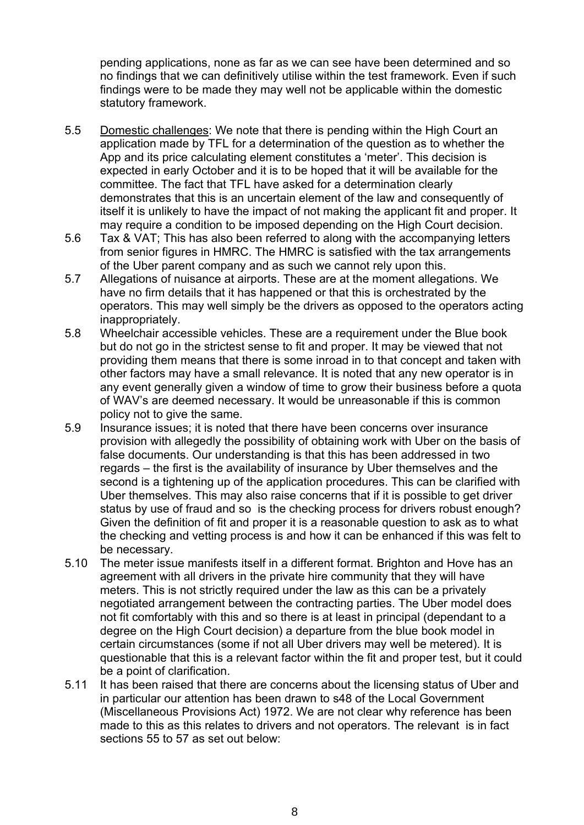pending applications, none as far as we can see have been determined and so no findings that we can definitively utilise within the test framework. Even if such findings were to be made they may well not be applicable within the domestic statutory framework.

- 5.5 Domestic challenges: We note that there is pending within the High Court an application made by TFL for a determination of the question as to whether the App and its price calculating element constitutes a 'meter'. This decision is expected in early October and it is to be hoped that it will be available for the committee. The fact that TFL have asked for a determination clearly demonstrates that this is an uncertain element of the law and consequently of itself it is unlikely to have the impact of not making the applicant fit and proper. It may require a condition to be imposed depending on the High Court decision.
- 5.6 Tax & VAT; This has also been referred to along with the accompanying letters from senior figures in HMRC. The HMRC is satisfied with the tax arrangements of the Uber parent company and as such we cannot rely upon this.
- 5.7 Allegations of nuisance at airports. These are at the moment allegations. We have no firm details that it has happened or that this is orchestrated by the operators. This may well simply be the drivers as opposed to the operators acting inappropriately.
- 5.8 Wheelchair accessible vehicles. These are a requirement under the Blue book but do not go in the strictest sense to fit and proper. It may be viewed that not providing them means that there is some inroad in to that concept and taken with other factors may have a small relevance. It is noted that any new operator is in any event generally given a window of time to grow their business before a quota of WAV's are deemed necessary. It would be unreasonable if this is common policy not to give the same.
- 5.9 Insurance issues; it is noted that there have been concerns over insurance provision with allegedly the possibility of obtaining work with Uber on the basis of false documents. Our understanding is that this has been addressed in two regards – the first is the availability of insurance by Uber themselves and the second is a tightening up of the application procedures. This can be clarified with Uber themselves. This may also raise concerns that if it is possible to get driver status by use of fraud and so is the checking process for drivers robust enough? Given the definition of fit and proper it is a reasonable question to ask as to what the checking and vetting process is and how it can be enhanced if this was felt to be necessary.
- 5.10 The meter issue manifests itself in a different format. Brighton and Hove has an agreement with all drivers in the private hire community that they will have meters. This is not strictly required under the law as this can be a privately negotiated arrangement between the contracting parties. The Uber model does not fit comfortably with this and so there is at least in principal (dependant to a degree on the High Court decision) a departure from the blue book model in certain circumstances (some if not all Uber drivers may well be metered). It is questionable that this is a relevant factor within the fit and proper test, but it could be a point of clarification.
- 5.11 It has been raised that there are concerns about the licensing status of Uber and in particular our attention has been drawn to s48 of the Local Government (Miscellaneous Provisions Act) 1972. We are not clear why reference has been made to this as this relates to drivers and not operators. The relevant is in fact sections 55 to 57 as set out below: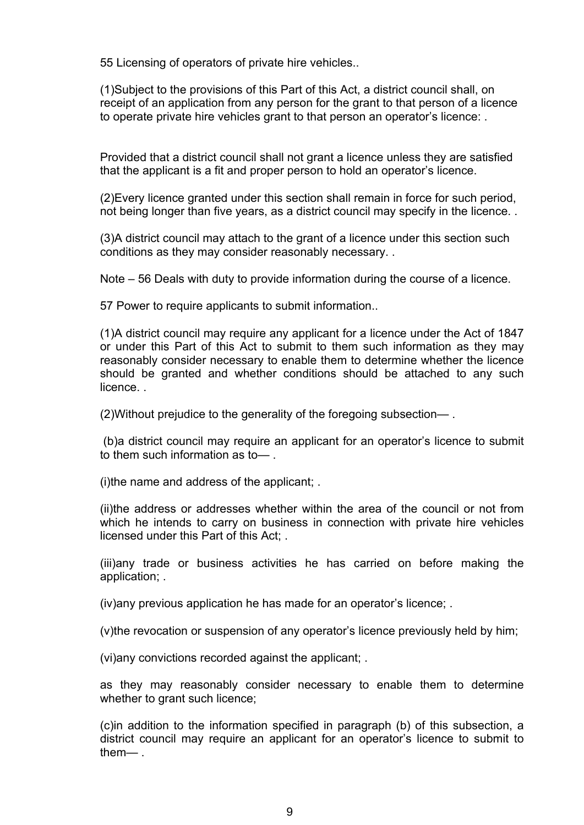55 Licensing of operators of private hire vehicles..

(1)Subject to the provisions of this Part of this Act, a district council shall, on receipt of an application from any person for the grant to that person of a licence to operate private hire vehicles grant to that person an operator's licence: .

Provided that a district council shall not grant a licence unless they are satisfied that the applicant is a fit and proper person to hold an operator's licence.

(2)Every licence granted under this section shall remain in force for such period, not being longer than five years, as a district council may specify in the licence. .

(3)A district council may attach to the grant of a licence under this section such conditions as they may consider reasonably necessary. .

Note – 56 Deals with duty to provide information during the course of a licence.

57 Power to require applicants to submit information..

(1)A district council may require any applicant for a licence under the Act of 1847 or under this Part of this Act to submit to them such information as they may reasonably consider necessary to enable them to determine whether the licence should be granted and whether conditions should be attached to any such licence. .

(2)Without prejudice to the generality of the foregoing subsection— .

(b)a district council may require an applicant for an operator's licence to submit to them such information as to— .

(i)the name and address of the applicant; .

(ii)the address or addresses whether within the area of the council or not from which he intends to carry on business in connection with private hire vehicles licensed under this Part of this Act; .

(iii)any trade or business activities he has carried on before making the application; .

(iv)any previous application he has made for an operator's licence; .

(v)the revocation or suspension of any operator's licence previously held by him;

(vi)any convictions recorded against the applicant; .

as they may reasonably consider necessary to enable them to determine whether to grant such licence;

(c)in addition to the information specified in paragraph (b) of this subsection, a district council may require an applicant for an operator's licence to submit to them— .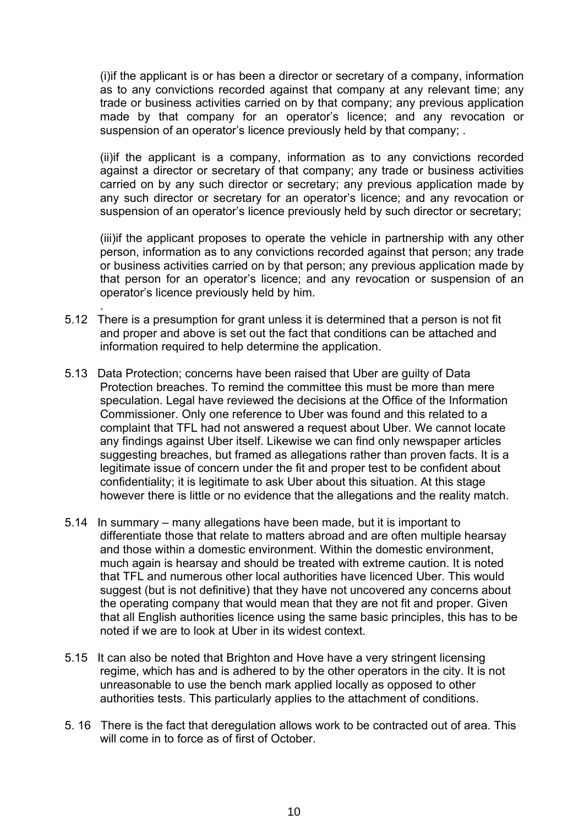(i)if the applicant is or has been a director or secretary of a company, information as to any convictions recorded against that company at any relevant time; any trade or business activities carried on by that company; any previous application made by that company for an operator's licence; and any revocation or suspension of an operator's licence previously held by that company; .

(ii)if the applicant is a company, information as to any convictions recorded against a director or secretary of that company; any trade or business activities carried on by any such director or secretary; any previous application made by any such director or secretary for an operator's licence; and any revocation or suspension of an operator's licence previously held by such director or secretary;

(iii)if the applicant proposes to operate the vehicle in partnership with any other person, information as to any convictions recorded against that person; any trade or business activities carried on by that person; any previous application made by that person for an operator's licence; and any revocation or suspension of an operator's licence previously held by him.

5.12 There is a presumption for grant unless it is determined that a person is not fit and proper and above is set out the fact that conditions can be attached and information required to help determine the application.

.

- 5.13 Data Protection; concerns have been raised that Uber are guilty of Data Protection breaches. To remind the committee this must be more than mere speculation. Legal have reviewed the decisions at the Office of the Information Commissioner. Only one reference to Uber was found and this related to a complaint that TFL had not answered a request about Uber. We cannot locate any findings against Uber itself. Likewise we can find only newspaper articles suggesting breaches, but framed as allegations rather than proven facts. It is a legitimate issue of concern under the fit and proper test to be confident about confidentiality; it is legitimate to ask Uber about this situation. At this stage however there is little or no evidence that the allegations and the reality match.
- 5.14 In summary many allegations have been made, but it is important to differentiate those that relate to matters abroad and are often multiple hearsay and those within a domestic environment. Within the domestic environment, much again is hearsay and should be treated with extreme caution. It is noted that TFL and numerous other local authorities have licenced Uber. This would suggest (but is not definitive) that they have not uncovered any concerns about the operating company that would mean that they are not fit and proper. Given that all English authorities licence using the same basic principles, this has to be noted if we are to look at Uber in its widest context.
- 5.15 It can also be noted that Brighton and Hove have a very stringent licensing regime, which has and is adhered to by the other operators in the city. It is not unreasonable to use the bench mark applied locally as opposed to other authorities tests. This particularly applies to the attachment of conditions.
- 5. 16 There is the fact that deregulation allows work to be contracted out of area. This will come in to force as of first of October.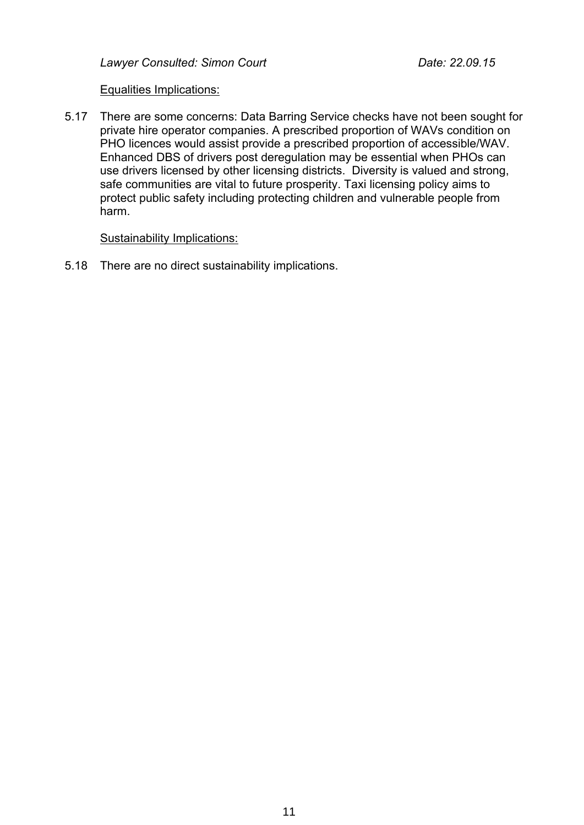*Lawyer Consulted: Simon Court Date: 22.09.15*

#### Equalities Implications:

5.17 There are some concerns: Data Barring Service checks have not been sought for private hire operator companies. A prescribed proportion of WAVs condition on PHO licences would assist provide a prescribed proportion of accessible/WAV. Enhanced DBS of drivers post deregulation may be essential when PHOs can use drivers licensed by other licensing districts. Diversity is valued and strong, safe communities are vital to future prosperity. Taxi licensing policy aims to protect public safety including protecting children and vulnerable people from harm.

#### Sustainability Implications:

5.18 There are no direct sustainability implications.